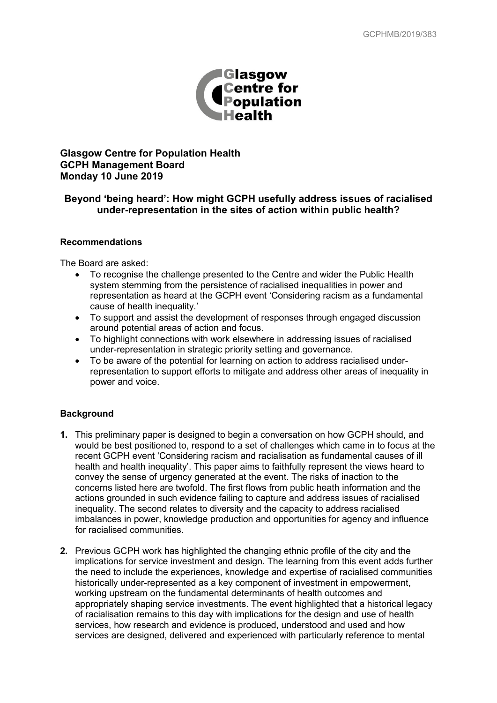

# **Glasgow Centre for Population Health GCPH Management Board Monday 10 June 2019**

# **Beyond 'being heard': How might GCPH usefully address issues of racialised under-representation in the sites of action within public health?**

### **Recommendations**

The Board are asked:

- To recognise the challenge presented to the Centre and wider the Public Health system stemming from the persistence of racialised inequalities in power and representation as heard at the GCPH event 'Considering racism as a fundamental cause of health inequality.'
- To support and assist the development of responses through engaged discussion around potential areas of action and focus.
- To highlight connections with work elsewhere in addressing issues of racialised under-representation in strategic priority setting and governance.
- To be aware of the potential for learning on action to address racialised underrepresentation to support efforts to mitigate and address other areas of inequality in power and voice.

## **Background**

- **1.** This preliminary paper is designed to begin a conversation on how GCPH should, and would be best positioned to, respond to a set of challenges which came in to focus at the recent GCPH event 'Considering racism and racialisation as fundamental causes of ill health and health inequality'. This paper aims to faithfully represent the views heard to convey the sense of urgency generated at the event. The risks of inaction to the concerns listed here are twofold. The first flows from public heath information and the actions grounded in such evidence failing to capture and address issues of racialised inequality. The second relates to diversity and the capacity to address racialised imbalances in power, knowledge production and opportunities for agency and influence for racialised communities.
- **2.** Previous GCPH work has highlighted the changing ethnic profile of the city and the implications for service investment and design. The learning from this event adds further the need to include the experiences, knowledge and expertise of racialised communities historically under-represented as a key component of investment in empowerment, working upstream on the fundamental determinants of health outcomes and appropriately shaping service investments. The event highlighted that a historical legacy of racialisation remains to this day with implications for the design and use of health services, how research and evidence is produced, understood and used and how services are designed, delivered and experienced with particularly reference to mental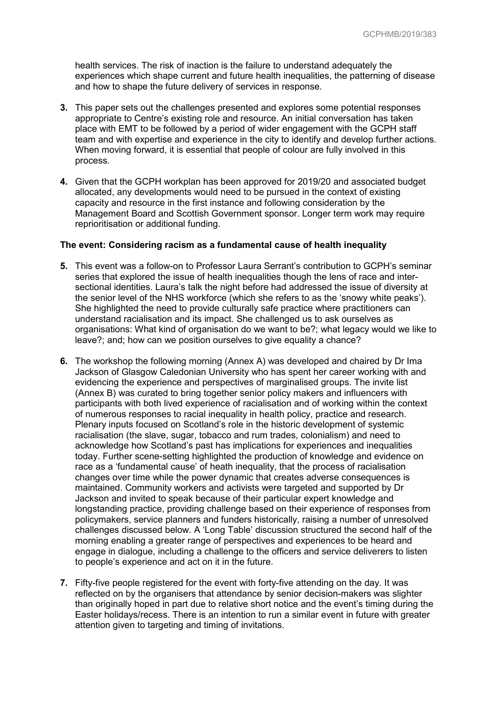health services. The risk of inaction is the failure to understand adequately the experiences which shape current and future health inequalities, the patterning of disease and how to shape the future delivery of services in response.

- **3.** This paper sets out the challenges presented and explores some potential responses appropriate to Centre's existing role and resource. An initial conversation has taken place with EMT to be followed by a period of wider engagement with the GCPH staff team and with expertise and experience in the city to identify and develop further actions. When moving forward, it is essential that people of colour are fully involved in this process.
- **4.** Given that the GCPH workplan has been approved for 2019/20 and associated budget allocated, any developments would need to be pursued in the context of existing capacity and resource in the first instance and following consideration by the Management Board and Scottish Government sponsor. Longer term work may require reprioritisation or additional funding.

## **The event: Considering racism as a fundamental cause of health inequality**

- **5.** This event was a follow-on to Professor Laura Serrant's contribution to GCPH's seminar series that explored the issue of health inequalities though the lens of race and intersectional identities. Laura's talk the night before had addressed the issue of diversity at the senior level of the NHS workforce (which she refers to as the 'snowy white peaks'). She highlighted the need to provide culturally safe practice where practitioners can understand racialisation and its impact. She challenged us to ask ourselves as organisations: What kind of organisation do we want to be?; what legacy would we like to leave?; and; how can we position ourselves to give equality a chance?
- **6.** The workshop the following morning (Annex A) was developed and chaired by Dr Ima Jackson of Glasgow Caledonian University who has spent her career working with and evidencing the experience and perspectives of marginalised groups. The invite list (Annex B) was curated to bring together senior policy makers and influencers with participants with both lived experience of racialisation and of working within the context of numerous responses to racial inequality in health policy, practice and research. Plenary inputs focused on Scotland's role in the historic development of systemic racialisation (the slave, sugar, tobacco and rum trades, colonialism) and need to acknowledge how Scotland's past has implications for experiences and inequalities today. Further scene-setting highlighted the production of knowledge and evidence on race as a 'fundamental cause' of heath inequality, that the process of racialisation changes over time while the power dynamic that creates adverse consequences is maintained. Community workers and activists were targeted and supported by Dr Jackson and invited to speak because of their particular expert knowledge and longstanding practice, providing challenge based on their experience of responses from policymakers, service planners and funders historically, raising a number of unresolved challenges discussed below. A 'Long Table' discussion structured the second half of the morning enabling a greater range of perspectives and experiences to be heard and engage in dialogue, including a challenge to the officers and service deliverers to listen to people's experience and act on it in the future.
- **7.** Fifty-five people registered for the event with forty-five attending on the day. It was reflected on by the organisers that attendance by senior decision-makers was slighter than originally hoped in part due to relative short notice and the event's timing during the Easter holidays/recess. There is an intention to run a similar event in future with greater attention given to targeting and timing of invitations.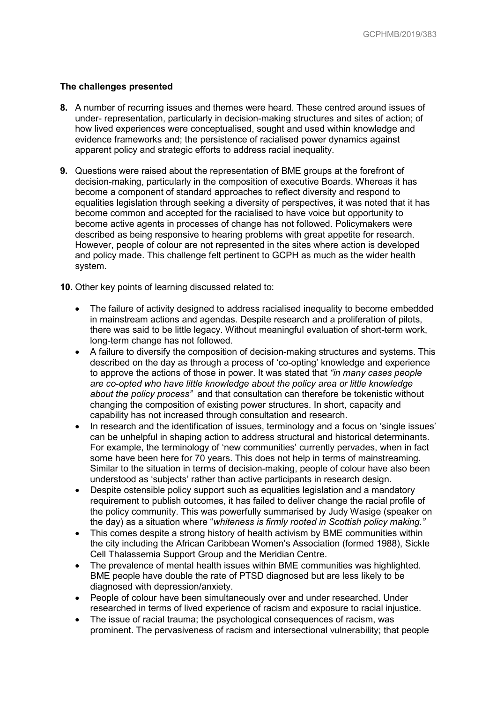## **The challenges presented**

- **8.** A number of recurring issues and themes were heard. These centred around issues of under- representation, particularly in decision-making structures and sites of action; of how lived experiences were conceptualised, sought and used within knowledge and evidence frameworks and; the persistence of racialised power dynamics against apparent policy and strategic efforts to address racial inequality.
- **9.** Questions were raised about the representation of BME groups at the forefront of decision-making, particularly in the composition of executive Boards. Whereas it has become a component of standard approaches to reflect diversity and respond to equalities legislation through seeking a diversity of perspectives, it was noted that it has become common and accepted for the racialised to have voice but opportunity to become active agents in processes of change has not followed. Policymakers were described as being responsive to hearing problems with great appetite for research. However, people of colour are not represented in the sites where action is developed and policy made. This challenge felt pertinent to GCPH as much as the wider health system.
- **10.** Other key points of learning discussed related to:
	- The failure of activity designed to address racialised inequality to become embedded in mainstream actions and agendas. Despite research and a proliferation of pilots, there was said to be little legacy. Without meaningful evaluation of short-term work, long-term change has not followed.
	- A failure to diversify the composition of decision-making structures and systems. This described on the day as through a process of 'co-opting' knowledge and experience to approve the actions of those in power. It was stated that *"in many cases people are co-opted who have little knowledge about the policy area or little knowledge about the policy process"* and that consultation can therefore be tokenistic without changing the composition of existing power structures. In short, capacity and capability has not increased through consultation and research.
	- In research and the identification of issues, terminology and a focus on 'single issues' can be unhelpful in shaping action to address structural and historical determinants. For example, the terminology of 'new communities' currently pervades, when in fact some have been here for 70 years. This does not help in terms of mainstreaming. Similar to the situation in terms of decision-making, people of colour have also been understood as 'subjects' rather than active participants in research design.
	- Despite ostensible policy support such as equalities legislation and a mandatory requirement to publish outcomes, it has failed to deliver change the racial profile of the policy community. This was powerfully summarised by Judy Wasige (speaker on the day) as a situation where "*whiteness is firmly rooted in Scottish policy making."*
	- This comes despite a strong history of health activism by BME communities within the city including the African Caribbean Women's Association (formed 1988), Sickle Cell Thalassemia Support Group and the Meridian Centre.
	- The prevalence of mental health issues within BME communities was highlighted. BME people have double the rate of PTSD diagnosed but are less likely to be diagnosed with depression/anxiety.
	- People of colour have been simultaneously over and under researched. Under researched in terms of lived experience of racism and exposure to racial injustice.
	- The issue of racial trauma; the psychological consequences of racism, was prominent. The pervasiveness of racism and intersectional vulnerability; that people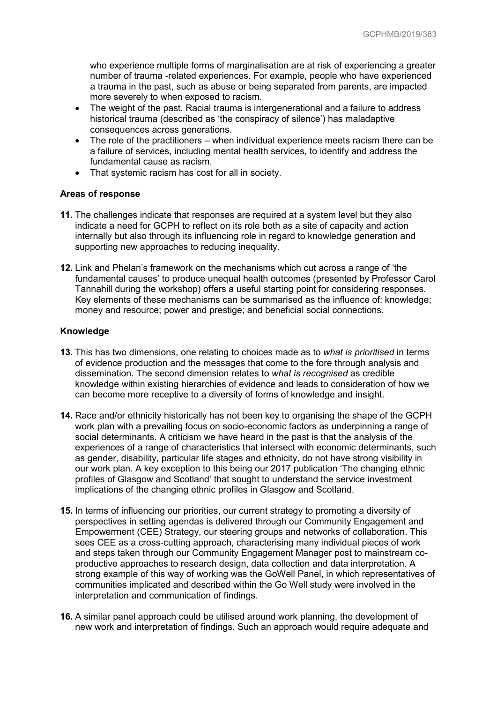who experience multiple forms of marginalisation are at risk of experiencing a greater number of trauma -related experiences. For example, people who have experienced a trauma in the past, such as abuse or being separated from parents, are impacted more severely to when exposed to racism.

- The weight of the past. Racial trauma is intergenerational and a failure to address historical trauma (described as 'the conspiracy of silence') has maladaptive consequences across generations.
- The role of the practitioners when individual experience meets racism there can be a failure of services, including mental health services, to identify and address the fundamental cause as racism.
- That systemic racism has cost for all in society.

## **Areas of response**

- **11.** The challenges indicate that responses are required at a system level but they also indicate a need for GCPH to reflect on its role both as a site of capacity and action internally but also through its influencing role in regard to knowledge generation and supporting new approaches to reducing inequality.
- **12.** Link and Phelan's framework on the mechanisms which cut across a range of 'the fundamental causes' to produce unequal health outcomes (presented by Professor Carol Tannahill during the workshop) offers a useful starting point for considering responses. Key elements of these mechanisms can be summarised as the influence of: knowledge; money and resource; power and prestige; and beneficial social connections.

### **Knowledge**

- **13.** This has two dimensions, one relating to choices made as to *what is prioritised* in terms of evidence production and the messages that come to the fore through analysis and dissemination. The second dimension relates to *what is recognised* as credible knowledge within existing hierarchies of evidence and leads to consideration of how we can become more receptive to a diversity of forms of knowledge and insight.
- **14.** Race and/or ethnicity historically has not been key to organising the shape of the GCPH work plan with a prevailing focus on socio-economic factors as underpinning a range of social determinants. A criticism we have heard in the past is that the analysis of the experiences of a range of characteristics that intersect with economic determinants, such as gender, disability, particular life stages and ethnicity, do not have strong visibility in our work plan. A key exception to this being our 2017 publication 'The changing ethnic profiles of Glasgow and Scotland' that sought to understand the service investment implications of the changing ethnic profiles in Glasgow and Scotland.
- **15.** In terms of influencing our priorities, our current strategy to promoting a diversity of perspectives in setting agendas is delivered through our Community Engagement and Empowerment (CEE) Strategy, our steering groups and networks of collaboration. This sees CEE as a cross-cutting approach, characterising many individual pieces of work and steps taken through our Community Engagement Manager post to mainstream coproductive approaches to research design, data collection and data interpretation. A strong example of this way of working was the GoWell Panel, in which representatives of communities implicated and described within the Go Well study were involved in the interpretation and communication of findings.
- **16.** A similar panel approach could be utilised around work planning, the development of new work and interpretation of findings. Such an approach would require adequate and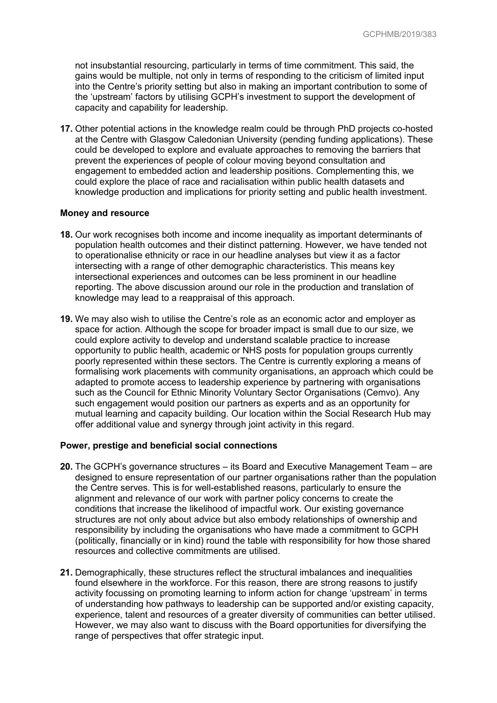not insubstantial resourcing, particularly in terms of time commitment. This said, the gains would be multiple, not only in terms of responding to the criticism of limited input into the Centre's priority setting but also in making an important contribution to some of the 'upstream' factors by utilising GCPH's investment to support the development of capacity and capability for leadership.

**17.** Other potential actions in the knowledge realm could be through PhD projects co-hosted at the Centre with Glasgow Caledonian University (pending funding applications). These could be developed to explore and evaluate approaches to removing the barriers that prevent the experiences of people of colour moving beyond consultation and engagement to embedded action and leadership positions. Complementing this, we could explore the place of race and racialisation within public health datasets and knowledge production and implications for priority setting and public health investment.

#### **Money and resource**

- **18.** Our work recognises both income and income inequality as important determinants of population health outcomes and their distinct patterning. However, we have tended not to operationalise ethnicity or race in our headline analyses but view it as a factor intersecting with a range of other demographic characteristics. This means key intersectional experiences and outcomes can be less prominent in our headline reporting. The above discussion around our role in the production and translation of knowledge may lead to a reappraisal of this approach.
- **19.** We may also wish to utilise the Centre's role as an economic actor and employer as space for action. Although the scope for broader impact is small due to our size, we could explore activity to develop and understand scalable practice to increase opportunity to public health, academic or NHS posts for population groups currently poorly represented within these sectors. The Centre is currently exploring a means of formalising work placements with community organisations, an approach which could be adapted to promote access to leadership experience by partnering with organisations such as the Council for Ethnic Minority Voluntary Sector Organisations (Cemvo). Any such engagement would position our partners as experts and as an opportunity for mutual learning and capacity building. Our location within the Social Research Hub may offer additional value and synergy through joint activity in this regard.

### **Power, prestige and beneficial social connections**

- **20.** The GCPH's governance structures its Board and Executive Management Team are designed to ensure representation of our partner organisations rather than the population the Centre serves. This is for well-established reasons, particularly to ensure the alignment and relevance of our work with partner policy concerns to create the conditions that increase the likelihood of impactful work. Our existing governance structures are not only about advice but also embody relationships of ownership and responsibility by including the organisations who have made a commitment to GCPH (politically, financially or in kind) round the table with responsibility for how those shared resources and collective commitments are utilised.
- **21.** Demographically, these structures reflect the structural imbalances and inequalities found elsewhere in the workforce. For this reason, there are strong reasons to justify activity focussing on promoting learning to inform action for change 'upstream' in terms of understanding how pathways to leadership can be supported and/or existing capacity, experience, talent and resources of a greater diversity of communities can better utilised. However, we may also want to discuss with the Board opportunities for diversifying the range of perspectives that offer strategic input.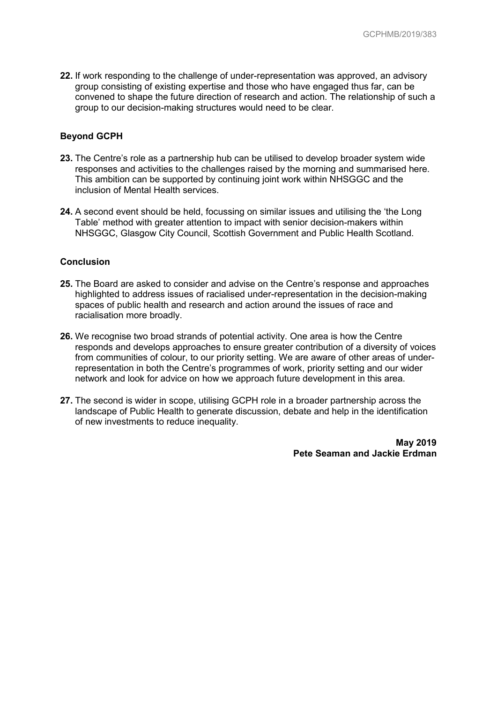**22.** If work responding to the challenge of under-representation was approved, an advisory group consisting of existing expertise and those who have engaged thus far, can be convened to shape the future direction of research and action. The relationship of such a group to our decision-making structures would need to be clear.

### **Beyond GCPH**

- **23.** The Centre's role as a partnership hub can be utilised to develop broader system wide responses and activities to the challenges raised by the morning and summarised here. This ambition can be supported by continuing joint work within NHSGGC and the inclusion of Mental Health services.
- **24.** A second event should be held, focussing on similar issues and utilising the 'the Long Table' method with greater attention to impact with senior decision-makers within NHSGGC, Glasgow City Council, Scottish Government and Public Health Scotland.

### **Conclusion**

- **25.** The Board are asked to consider and advise on the Centre's response and approaches highlighted to address issues of racialised under-representation in the decision-making spaces of public health and research and action around the issues of race and racialisation more broadly.
- **26.** We recognise two broad strands of potential activity. One area is how the Centre responds and develops approaches to ensure greater contribution of a diversity of voices from communities of colour, to our priority setting. We are aware of other areas of underrepresentation in both the Centre's programmes of work, priority setting and our wider network and look for advice on how we approach future development in this area.
- **27.** The second is wider in scope, utilising GCPH role in a broader partnership across the landscape of Public Health to generate discussion, debate and help in the identification of new investments to reduce inequality.

**May 2019 Pete Seaman and Jackie Erdman**